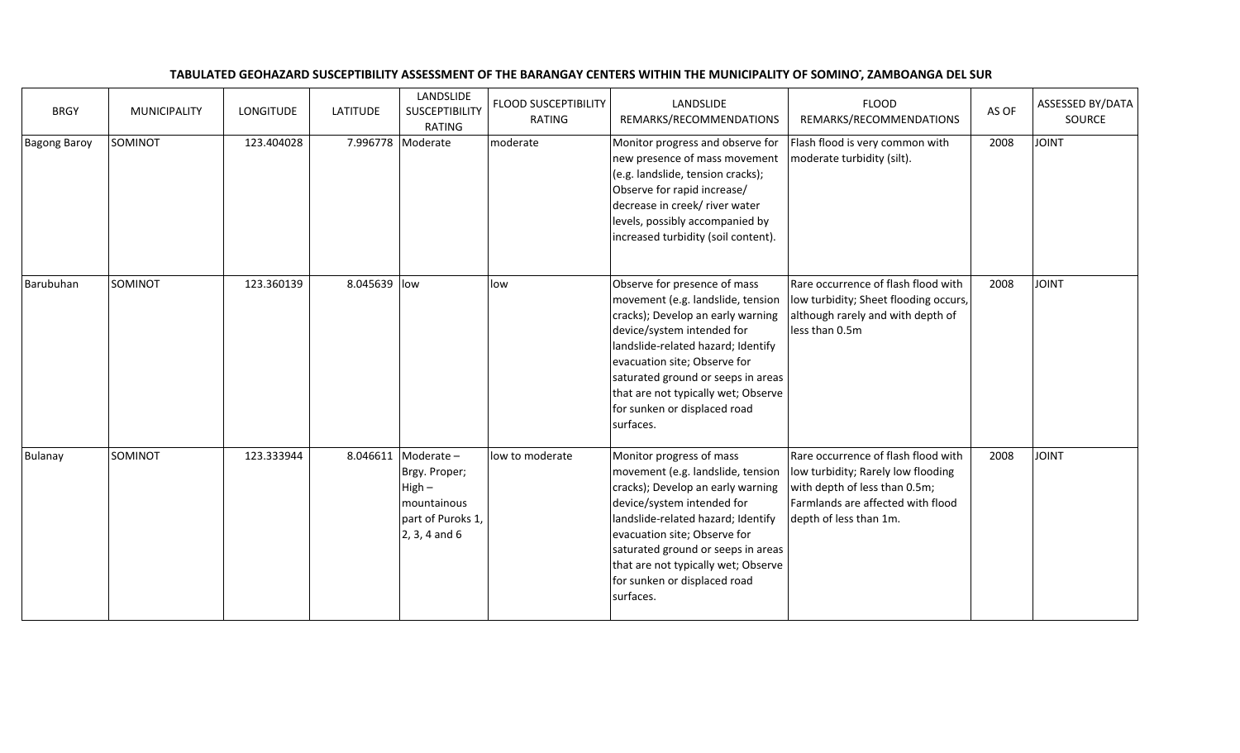## TABULATED GEOHAZARD SUSCEPTIBILITY ASSESSMENT OF THE BARANGAY CENTERS WITHIN THE MUNICIPALITY OF SOMINOT, ZAMBOANGA DEL SUR

| <b>BRGY</b>         | <b>MUNICIPALITY</b> | LONGITUDE  | <b>LATITUDE</b> | LANDSLIDE<br>SUSCEPTIBILITY<br><b>RATING</b>                                                            | <b>FLOOD SUSCEPTIBILITY</b><br>RATING | LANDSLIDE<br>REMARKS/RECOMMENDATIONS                                                                                                                                                                                                                                                                                                 | <b>FLOOD</b><br>REMARKS/RECOMMENDATIONS                                                                                                                                   | AS OF | ASSESSED BY/DATA<br>SOURCE |
|---------------------|---------------------|------------|-----------------|---------------------------------------------------------------------------------------------------------|---------------------------------------|--------------------------------------------------------------------------------------------------------------------------------------------------------------------------------------------------------------------------------------------------------------------------------------------------------------------------------------|---------------------------------------------------------------------------------------------------------------------------------------------------------------------------|-------|----------------------------|
| <b>Bagong Baroy</b> | SOMINOT             | 123.404028 |                 | 7.996778 Moderate                                                                                       | moderate                              | Monitor progress and observe for<br>new presence of mass movement<br>(e.g. landslide, tension cracks);<br>Observe for rapid increase/<br>decrease in creek/ river water<br>levels, possibly accompanied by<br>increased turbidity (soil content).                                                                                    | Flash flood is very common with<br>moderate turbidity (silt).                                                                                                             | 2008  | <b>JOINT</b>               |
| Barubuhan           | SOMINOT             | 123.360139 | 8.045639 low    |                                                                                                         | low                                   | Observe for presence of mass<br>movement (e.g. landslide, tension<br>cracks); Develop an early warning<br>device/system intended for<br>landslide-related hazard; Identify<br>evacuation site; Observe for<br>saturated ground or seeps in areas<br>that are not typically wet; Observe<br>for sunken or displaced road<br>surfaces. | Rare occurrence of flash flood with<br>low turbidity; Sheet flooding occurs,<br>although rarely and with depth of<br>less than 0.5m                                       | 2008  | <b>JOINT</b>               |
| Bulanay             | SOMINOT             | 123.333944 |                 | 8.046611 Moderate -<br>Brgy. Proper;<br>$High -$<br>mountainous<br>part of Puroks 1,<br>$2, 3, 4$ and 6 | low to moderate                       | Monitor progress of mass<br>movement (e.g. landslide, tension<br>cracks); Develop an early warning<br>device/system intended for<br>landslide-related hazard; Identify<br>evacuation site; Observe for<br>saturated ground or seeps in areas<br>that are not typically wet; Observe<br>for sunken or displaced road<br>surfaces.     | Rare occurrence of flash flood with<br>low turbidity; Rarely low flooding<br>with depth of less than 0.5m;<br>Farmlands are affected with flood<br>depth of less than 1m. | 2008  | <b>JOINT</b>               |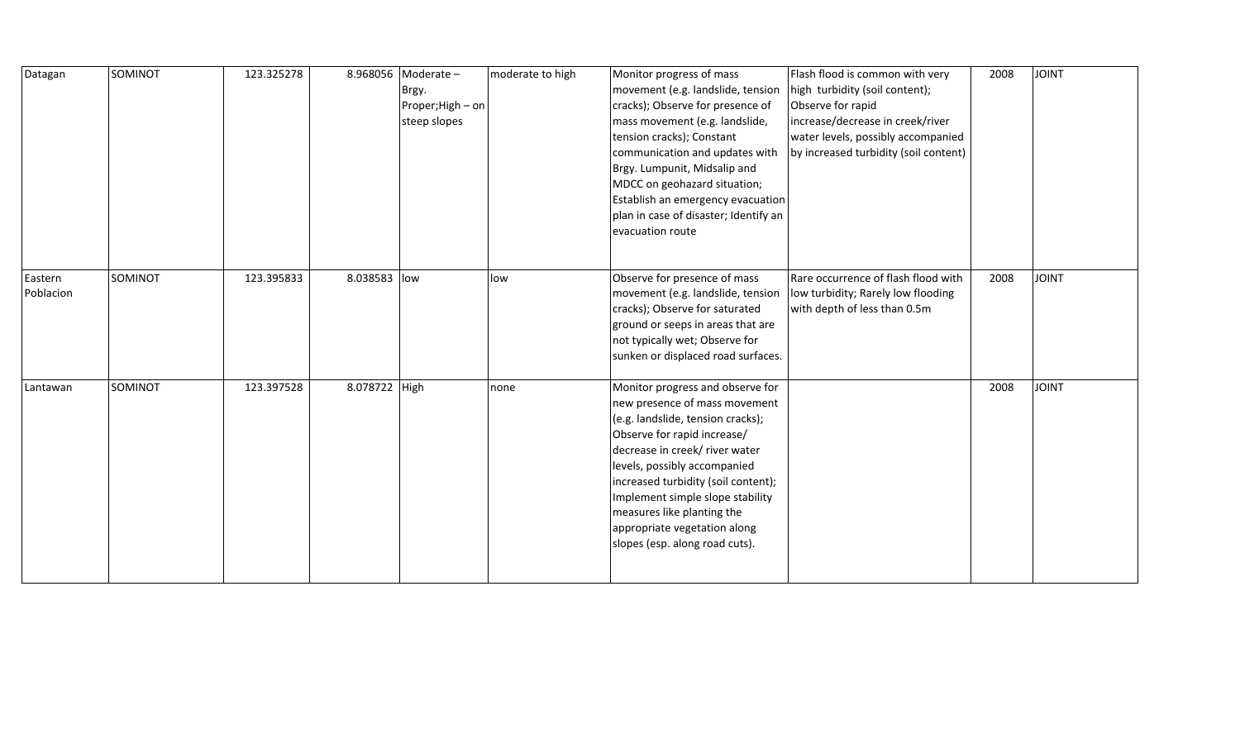| Datagan              | SOMINOT | 123.325278 |               | 8.968056   Moderate -<br>Brgy.<br>Proper; High - on<br>steep slopes | moderate to high | Monitor progress of mass<br>movement (e.g. landslide, tension<br>cracks); Observe for presence of<br>mass movement (e.g. landslide,<br>tension cracks); Constant<br>communication and updates with<br>Brgy. Lumpunit, Midsalip and<br>MDCC on geohazard situation;<br>Establish an emergency evacuation<br>plan in case of disaster; Identify an<br>evacuation route               | Flash flood is common with very<br>high turbidity (soil content);<br>Observe for rapid<br>increase/decrease in creek/river<br>water levels, possibly accompanied<br>by increased turbidity (soil content) | 2008 | JOINT        |
|----------------------|---------|------------|---------------|---------------------------------------------------------------------|------------------|------------------------------------------------------------------------------------------------------------------------------------------------------------------------------------------------------------------------------------------------------------------------------------------------------------------------------------------------------------------------------------|-----------------------------------------------------------------------------------------------------------------------------------------------------------------------------------------------------------|------|--------------|
| Eastern<br>Poblacion | SOMINOT | 123.395833 | 8.038583 low  |                                                                     | low              | Observe for presence of mass<br>movement (e.g. landslide, tension<br>cracks); Observe for saturated<br>ground or seeps in areas that are<br>not typically wet; Observe for<br>sunken or displaced road surfaces.                                                                                                                                                                   | Rare occurrence of flash flood with<br>low turbidity; Rarely low flooding<br>with depth of less than 0.5m                                                                                                 | 2008 | <b>JOINT</b> |
| Lantawan             | SOMINOT | 123.397528 | 8.078722 High |                                                                     | none             | Monitor progress and observe for<br>new presence of mass movement<br>(e.g. landslide, tension cracks);<br>Observe for rapid increase/<br>decrease in creek/ river water<br>levels, possibly accompanied<br>increased turbidity (soil content);<br>Implement simple slope stability<br>measures like planting the<br>appropriate vegetation along<br>slopes (esp. along road cuts). |                                                                                                                                                                                                           | 2008 | JOINT        |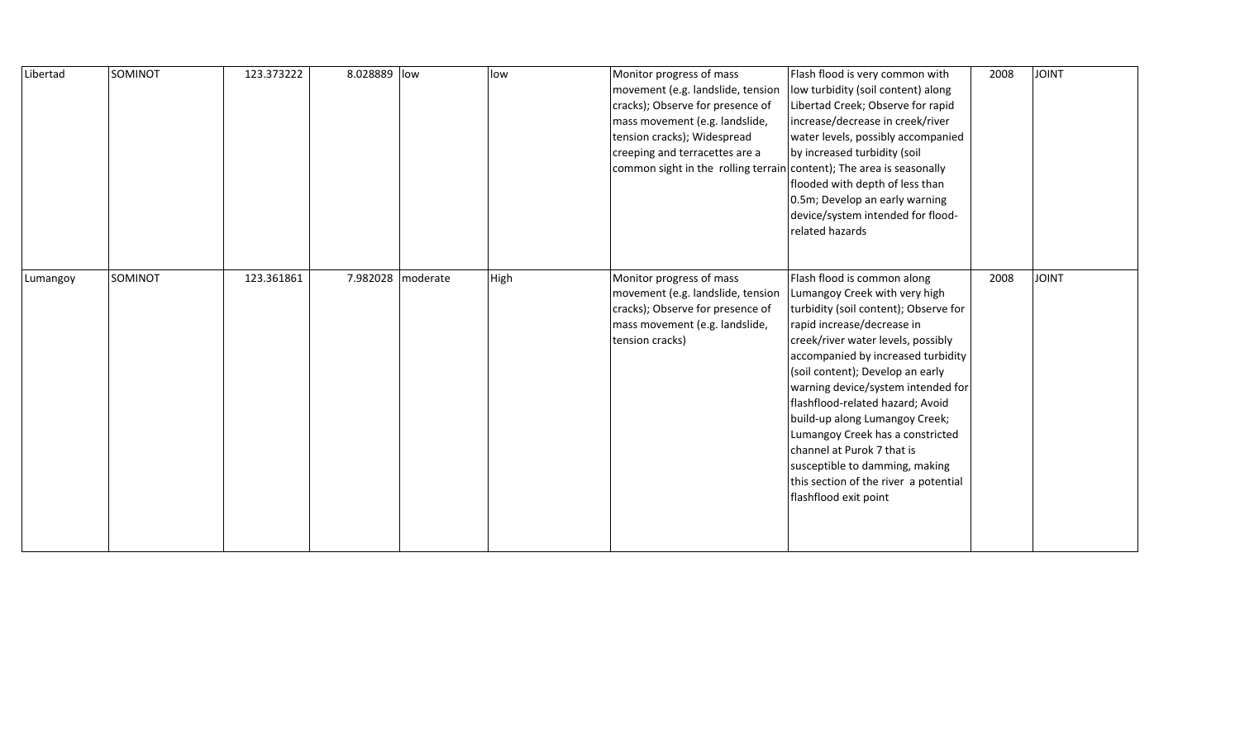| Libertad | SOMINOT | 123.373222 | 8.028889 low |                     | low  | Monitor progress of mass<br>movement (e.g. landslide, tension<br>cracks); Observe for presence of<br>mass movement (e.g. landslide,<br>tension cracks); Widespread<br>creeping and terracettes are a<br>common sight in the rolling terrain content); The area is seasonally | Flash flood is very common with<br>low turbidity (soil content) along<br>Libertad Creek; Observe for rapid<br>increase/decrease in creek/river<br>water levels, possibly accompanied<br>by increased turbidity (soil<br>flooded with depth of less than<br>0.5m; Develop an early warning<br>device/system intended for flood-<br>related hazards                                                                                                                                                                                     | 2008 | <b>JOINT</b> |
|----------|---------|------------|--------------|---------------------|------|------------------------------------------------------------------------------------------------------------------------------------------------------------------------------------------------------------------------------------------------------------------------------|---------------------------------------------------------------------------------------------------------------------------------------------------------------------------------------------------------------------------------------------------------------------------------------------------------------------------------------------------------------------------------------------------------------------------------------------------------------------------------------------------------------------------------------|------|--------------|
| Lumangoy | SOMINOT | 123.361861 |              | 7.982028   moderate | High | Monitor progress of mass<br>movement (e.g. landslide, tension<br>cracks); Observe for presence of<br>mass movement (e.g. landslide,<br>tension cracks)                                                                                                                       | Flash flood is common along<br>Lumangoy Creek with very high<br>turbidity (soil content); Observe for<br>rapid increase/decrease in<br>creek/river water levels, possibly<br>accompanied by increased turbidity<br>(soil content); Develop an early<br>warning device/system intended for<br>flashflood-related hazard; Avoid<br>build-up along Lumangoy Creek;<br>Lumangoy Creek has a constricted<br>channel at Purok 7 that is<br>susceptible to damming, making<br>this section of the river a potential<br>flashflood exit point | 2008 | <b>JOINT</b> |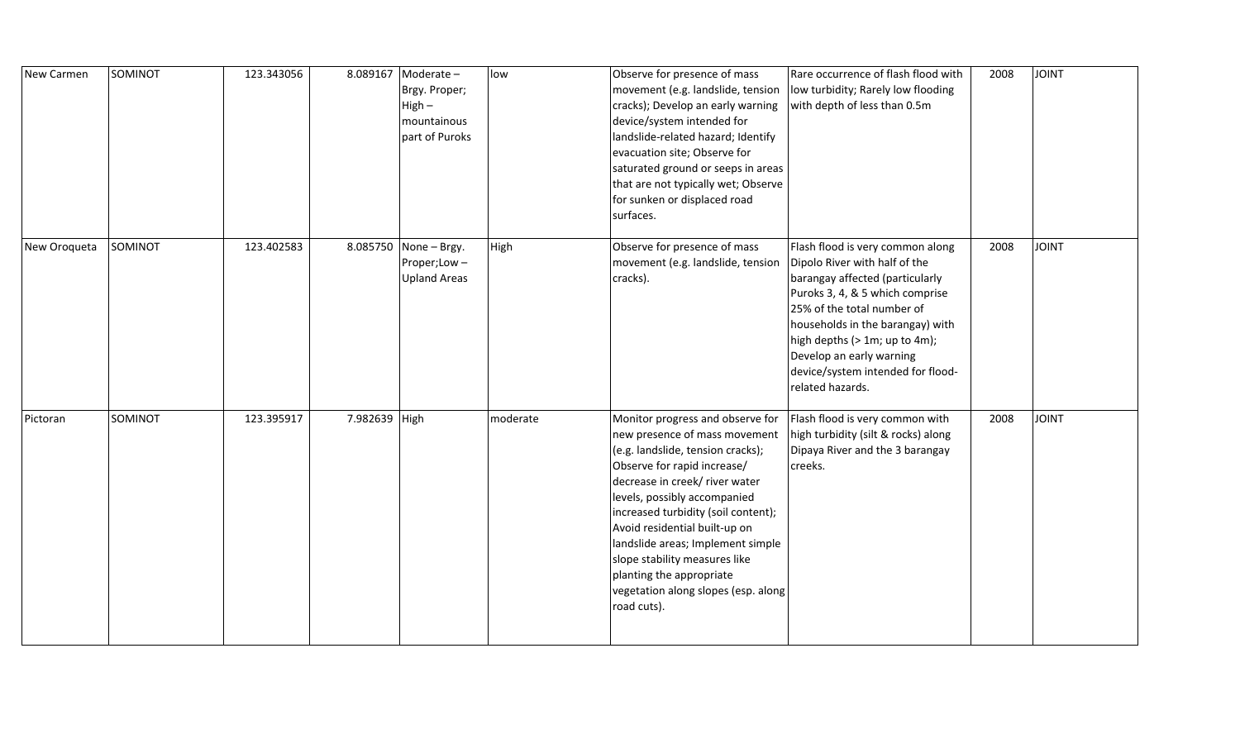| New Carmen   | SOMINOT | 123.343056 | 8.089167      | Moderate-<br>Brgy. Proper;<br>$High -$<br>mountainous<br>part of Puroks | low      | Observe for presence of mass<br>movement (e.g. landslide, tension<br>cracks); Develop an early warning<br>device/system intended for<br>landslide-related hazard; Identify<br>evacuation site; Observe for<br>saturated ground or seeps in areas<br>that are not typically wet; Observe<br>for sunken or displaced road<br>surfaces.                                                                                                    | Rare occurrence of flash flood with<br>low turbidity; Rarely low flooding<br>with depth of less than 0.5m                                                                                                                                                                                                                       | 2008 | <b>TINIOL</b> |
|--------------|---------|------------|---------------|-------------------------------------------------------------------------|----------|-----------------------------------------------------------------------------------------------------------------------------------------------------------------------------------------------------------------------------------------------------------------------------------------------------------------------------------------------------------------------------------------------------------------------------------------|---------------------------------------------------------------------------------------------------------------------------------------------------------------------------------------------------------------------------------------------------------------------------------------------------------------------------------|------|---------------|
| New Oroqueta | SOMINOT | 123.402583 |               | 8.085750 None - Brgy.<br>Proper;Low-<br><b>Upland Areas</b>             | High     | Observe for presence of mass<br>movement (e.g. landslide, tension<br>cracks).                                                                                                                                                                                                                                                                                                                                                           | Flash flood is very common along<br>Dipolo River with half of the<br>barangay affected (particularly<br>Puroks 3, 4, & 5 which comprise<br>25% of the total number of<br>households in the barangay) with<br>high depths (> 1m; up to 4m);<br>Develop an early warning<br>device/system intended for flood-<br>related hazards. | 2008 | <b>TINIOL</b> |
| Pictoran     | SOMINOT | 123.395917 | 7.982639 High |                                                                         | moderate | Monitor progress and observe for<br>new presence of mass movement<br>(e.g. landslide, tension cracks);<br>Observe for rapid increase/<br>decrease in creek/ river water<br>levels, possibly accompanied<br>increased turbidity (soil content);<br>Avoid residential built-up on<br>landslide areas; Implement simple<br>slope stability measures like<br>planting the appropriate<br>vegetation along slopes (esp. along<br>road cuts). | Flash flood is very common with<br>high turbidity (silt & rocks) along<br>Dipaya River and the 3 barangay<br>creeks.                                                                                                                                                                                                            | 2008 | <b>TINIOL</b> |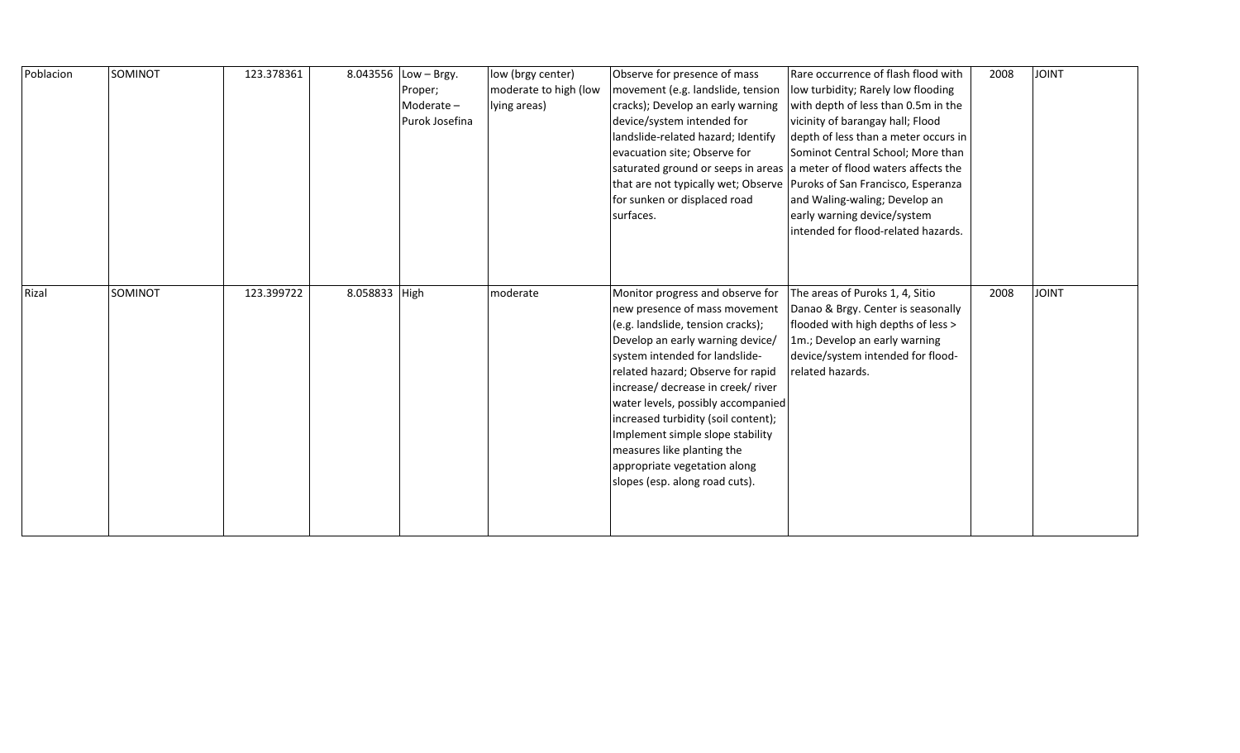| Poblacion | SOMINOT | 123.378361 |               | 8.043556 Low - Brgy.<br>Proper;<br>Moderate-<br>Purok Josefina | low (brgy center)<br>moderate to high (low<br>lying areas) | Observe for presence of mass<br>movement (e.g. landslide, tension<br>cracks); Develop an early warning<br>device/system intended for<br>landslide-related hazard; Identify<br>evacuation site; Observe for<br>for sunken or displaced road<br>surfaces.                                                                                                                                                                                                                  | Rare occurrence of flash flood with<br>low turbidity; Rarely low flooding<br>with depth of less than 0.5m in the<br>vicinity of barangay hall; Flood<br>depth of less than a meter occurs in<br>Sominot Central School; More than<br>saturated ground or seeps in areas a meter of flood waters affects the<br>that are not typically wet; Observe   Puroks of San Francisco, Esperanza<br>and Waling-waling; Develop an<br>early warning device/system<br>intended for flood-related hazards. | 2008 | <b>JOINT</b> |
|-----------|---------|------------|---------------|----------------------------------------------------------------|------------------------------------------------------------|--------------------------------------------------------------------------------------------------------------------------------------------------------------------------------------------------------------------------------------------------------------------------------------------------------------------------------------------------------------------------------------------------------------------------------------------------------------------------|------------------------------------------------------------------------------------------------------------------------------------------------------------------------------------------------------------------------------------------------------------------------------------------------------------------------------------------------------------------------------------------------------------------------------------------------------------------------------------------------|------|--------------|
| Rizal     | SOMINOT | 123.399722 | 8.058833 High |                                                                | moderate                                                   | Monitor progress and observe for<br>new presence of mass movement<br>(e.g. landslide, tension cracks);<br>Develop an early warning device/<br>system intended for landslide-<br>related hazard; Observe for rapid<br>increase/ decrease in creek/ river<br>water levels, possibly accompanied<br>increased turbidity (soil content);<br>Implement simple slope stability<br>measures like planting the<br>appropriate vegetation along<br>slopes (esp. along road cuts). | The areas of Puroks 1, 4, Sitio<br>Danao & Brgy. Center is seasonally<br>flooded with high depths of less ><br>1m.; Develop an early warning<br>device/system intended for flood-<br>related hazards.                                                                                                                                                                                                                                                                                          | 2008 | <b>JOINT</b> |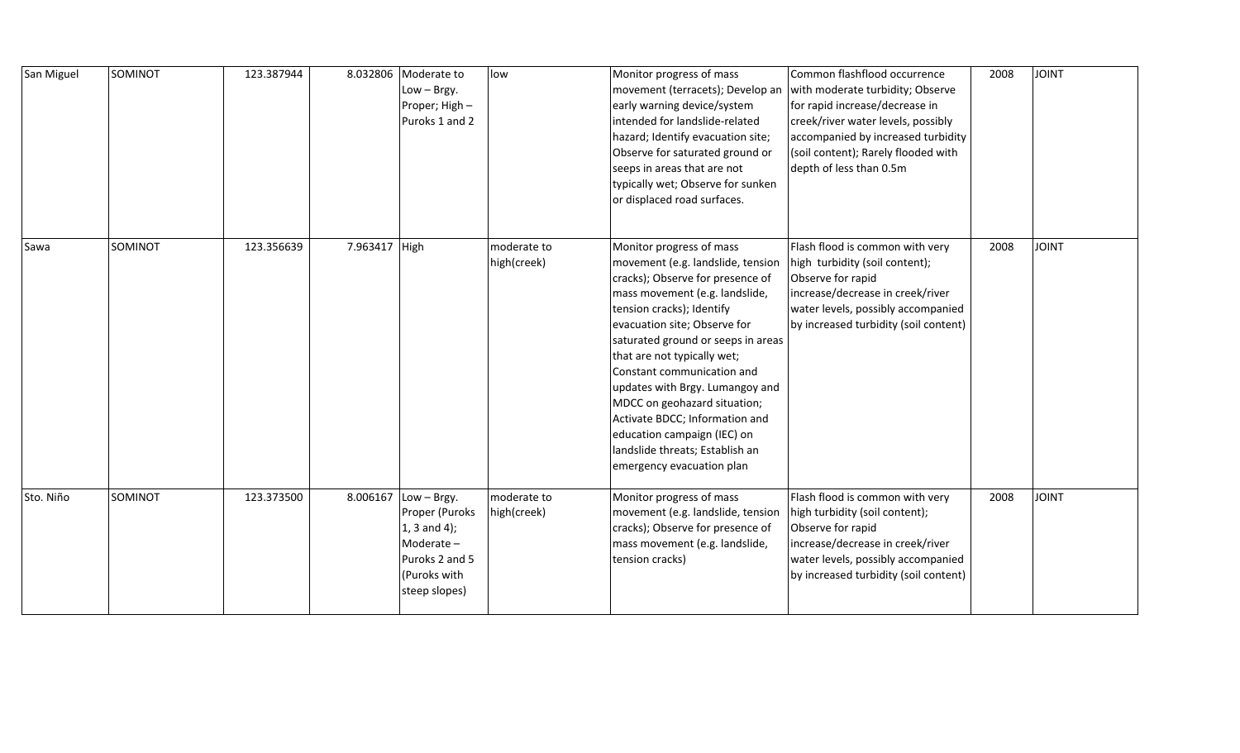| San Miguel | SOMINOT | 123.387944 |               | 8.032806 Moderate to<br>Low - Brgy.<br>Proper; High -<br>Puroks 1 and 2                                                      | low                        | Monitor progress of mass<br>movement (terracets); Develop an<br>early warning device/system<br>intended for landslide-related<br>hazard; Identify evacuation site;<br>Observe for saturated ground or<br>seeps in areas that are not<br>typically wet; Observe for sunken<br>or displaced road surfaces.                                                                                                                                                                                                | Common flashflood occurrence<br>with moderate turbidity; Observe<br>for rapid increase/decrease in<br>creek/river water levels, possibly<br>accompanied by increased turbidity<br>(soil content); Rarely flooded with<br>depth of less than 0.5m | 2008 | <b>JOINT</b> |
|------------|---------|------------|---------------|------------------------------------------------------------------------------------------------------------------------------|----------------------------|---------------------------------------------------------------------------------------------------------------------------------------------------------------------------------------------------------------------------------------------------------------------------------------------------------------------------------------------------------------------------------------------------------------------------------------------------------------------------------------------------------|--------------------------------------------------------------------------------------------------------------------------------------------------------------------------------------------------------------------------------------------------|------|--------------|
| Sawa       | SOMINOT | 123.356639 | 7.963417 High |                                                                                                                              | moderate to<br>high(creek) | Monitor progress of mass<br>movement (e.g. landslide, tension<br>cracks); Observe for presence of<br>mass movement (e.g. landslide,<br>tension cracks); Identify<br>evacuation site; Observe for<br>saturated ground or seeps in areas<br>that are not typically wet;<br>Constant communication and<br>updates with Brgy. Lumangoy and<br>MDCC on geohazard situation;<br>Activate BDCC; Information and<br>education campaign (IEC) on<br>landslide threats; Establish an<br>emergency evacuation plan | Flash flood is common with very<br>high turbidity (soil content);<br>Observe for rapid<br>increase/decrease in creek/river<br>water levels, possibly accompanied<br>by increased turbidity (soil content)                                        | 2008 | <b>JOINT</b> |
| Sto. Niño  | SOMINOT | 123.373500 |               | 8.006167 $ $ Low – Brgy.<br>Proper (Puroks<br>$1, 3$ and 4);<br>Moderate-<br>Puroks 2 and 5<br>(Puroks with<br>steep slopes) | moderate to<br>high(creek) | Monitor progress of mass<br>movement (e.g. landslide, tension<br>cracks); Observe for presence of<br>mass movement (e.g. landslide,<br>tension cracks)                                                                                                                                                                                                                                                                                                                                                  | Flash flood is common with very<br>high turbidity (soil content);<br>Observe for rapid<br>increase/decrease in creek/river<br>water levels, possibly accompanied<br>by increased turbidity (soil content)                                        | 2008 | <b>JOINT</b> |